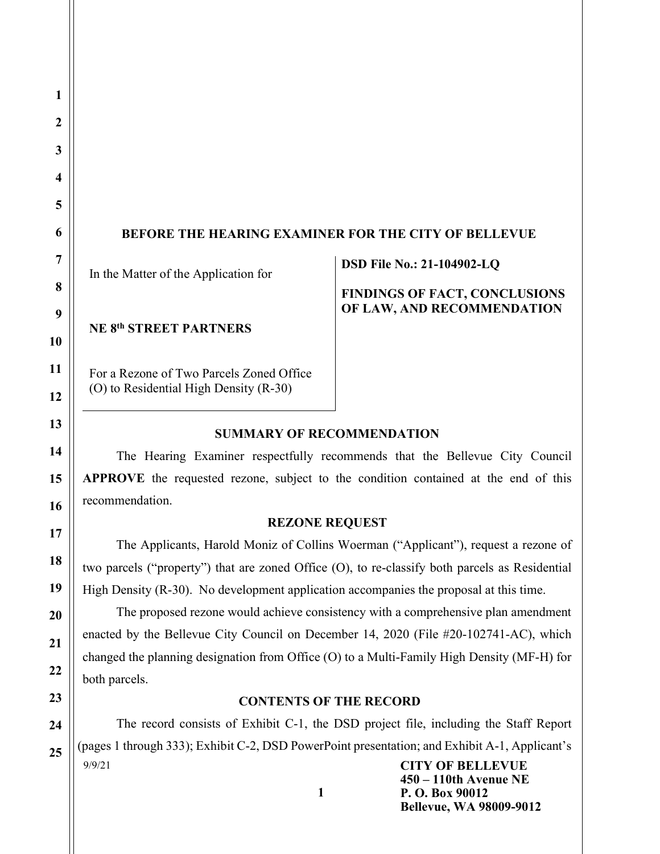# BEFORE THE HEARING EXAMINER FOR THE CITY OF BELLEVUE

In the Matter of the Application for

NE 8th STREET PARTNERS

For a Rezone of Two Parcels Zoned Office (O) to Residential High Density (R-30)

DSD File No.: 21-104902-LQ

FINDINGS OF FACT, CONCLUSIONS OF LAW, AND RECOMMENDATION

450 – 110th Avenue NE

Bellevue, WA 98009-9012

P. O. Box 90012

## SUMMARY OF RECOMMENDATION

The Hearing Examiner respectfully recommends that the Bellevue City Council APPROVE the requested rezone, subject to the condition contained at the end of this recommendation.

## REZONE REQUEST

 The Applicants, Harold Moniz of Collins Woerman ("Applicant"), request a rezone of two parcels ("property") that are zoned Office (O), to re-classify both parcels as Residential High Density (R-30). No development application accompanies the proposal at this time.

 The proposed rezone would achieve consistency with a comprehensive plan amendment enacted by the Bellevue City Council on December 14, 2020 (File #20-102741-AC), which changed the planning designation from Office (O) to a Multi-Family High Density (MF-H) for both parcels.

## CONTENTS OF THE RECORD

9/9/21 CITY OF BELLEVUE The record consists of Exhibit C-1, the DSD project file, including the Staff Report (pages 1 through 333); Exhibit C-2, DSD PowerPoint presentation; and Exhibit A-1, Applicant's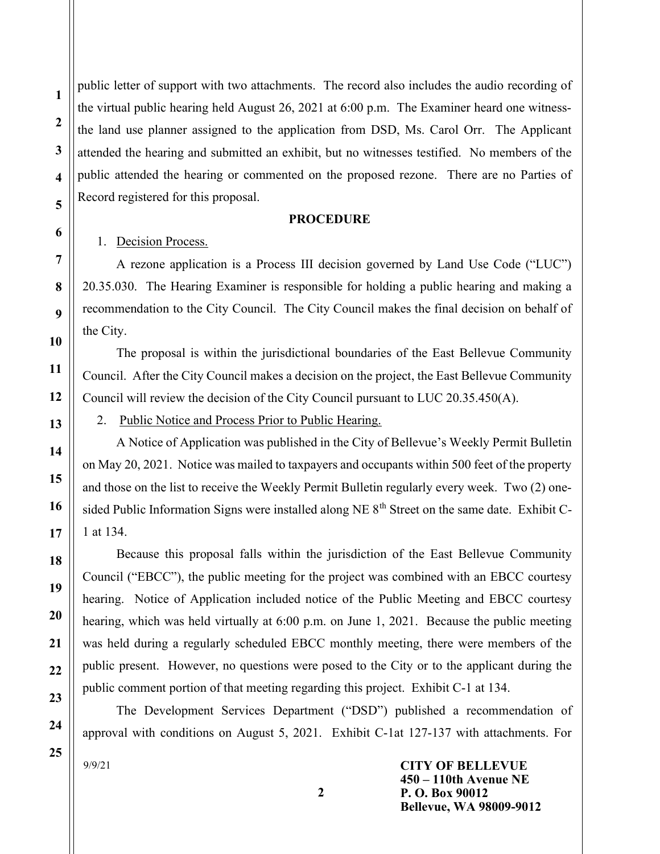public letter of support with two attachments. The record also includes the audio recording of the virtual public hearing held August 26, 2021 at 6:00 p.m. The Examiner heard one witnessthe land use planner assigned to the application from DSD, Ms. Carol Orr. The Applicant attended the hearing and submitted an exhibit, but no witnesses testified. No members of the public attended the hearing or commented on the proposed rezone. There are no Parties of Record registered for this proposal.

#### **PROCEDURE**

1. Decision Process.

 A rezone application is a Process III decision governed by Land Use Code ("LUC") 20.35.030. The Hearing Examiner is responsible for holding a public hearing and making a recommendation to the City Council. The City Council makes the final decision on behalf of the City.

The proposal is within the jurisdictional boundaries of the East Bellevue Community Council. After the City Council makes a decision on the project, the East Bellevue Community Council will review the decision of the City Council pursuant to LUC 20.35.450(A).

2. Public Notice and Process Prior to Public Hearing.

 A Notice of Application was published in the City of Bellevue's Weekly Permit Bulletin on May 20, 2021. Notice was mailed to taxpayers and occupants within 500 feet of the property and those on the list to receive the Weekly Permit Bulletin regularly every week. Two (2) onesided Public Information Signs were installed along NE  $8<sup>th</sup>$  Street on the same date. Exhibit C-1 at 134.

Because this proposal falls within the jurisdiction of the East Bellevue Community Council ("EBCC"), the public meeting for the project was combined with an EBCC courtesy hearing. Notice of Application included notice of the Public Meeting and EBCC courtesy hearing, which was held virtually at 6:00 p.m. on June 1, 2021. Because the public meeting was held during a regularly scheduled EBCC monthly meeting, there were members of the public present. However, no questions were posed to the City or to the applicant during the public comment portion of that meeting regarding this project. Exhibit C-1 at 134.

 The Development Services Department ("DSD") published a recommendation of approval with conditions on August 5, 2021. Exhibit C-1at 127-137 with attachments. For

9/9/21

CITY OF BELLEVUE 450 – 110th Avenue NE P. O. Box 90012 Bellevue, WA 98009-9012

1

2

3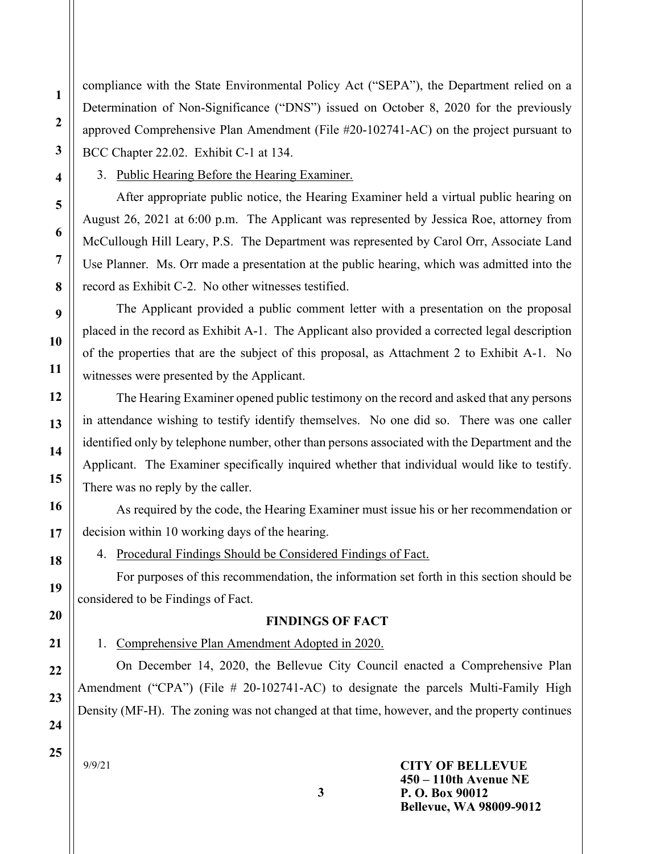compliance with the State Environmental Policy Act ("SEPA"), the Department relied on a Determination of Non-Significance ("DNS") issued on October 8, 2020 for the previously approved Comprehensive Plan Amendment (File #20-102741-AC) on the project pursuant to BCC Chapter 22.02. Exhibit C-1 at 134.

3. Public Hearing Before the Hearing Examiner.

 After appropriate public notice, the Hearing Examiner held a virtual public hearing on August 26, 2021 at 6:00 p.m. The Applicant was represented by Jessica Roe, attorney from McCullough Hill Leary, P.S. The Department was represented by Carol Orr, Associate Land Use Planner. Ms. Orr made a presentation at the public hearing, which was admitted into the record as Exhibit C-2. No other witnesses testified.

 The Applicant provided a public comment letter with a presentation on the proposal placed in the record as Exhibit A-1. The Applicant also provided a corrected legal description of the properties that are the subject of this proposal, as Attachment 2 to Exhibit A-1. No witnesses were presented by the Applicant.

 The Hearing Examiner opened public testimony on the record and asked that any persons in attendance wishing to testify identify themselves. No one did so. There was one caller identified only by telephone number, other than persons associated with the Department and the Applicant. The Examiner specifically inquired whether that individual would like to testify. There was no reply by the caller.

 As required by the code, the Hearing Examiner must issue his or her recommendation or decision within 10 working days of the hearing.

4. Procedural Findings Should be Considered Findings of Fact.

For purposes of this recommendation, the information set forth in this section should be considered to be Findings of Fact.

### FINDINGS OF FACT

1. Comprehensive Plan Amendment Adopted in 2020.

On December 14, 2020, the Bellevue City Council enacted a Comprehensive Plan Amendment ("CPA") (File # 20-102741-AC) to designate the parcels Multi-Family High Density (MF-H). The zoning was not changed at that time, however, and the property continues

3

9/9/21

25

#### CITY OF BELLEVUE 450 – 110th Avenue NE P. O. Box 90012 Bellevue, WA 98009-9012

1

2

3

4

5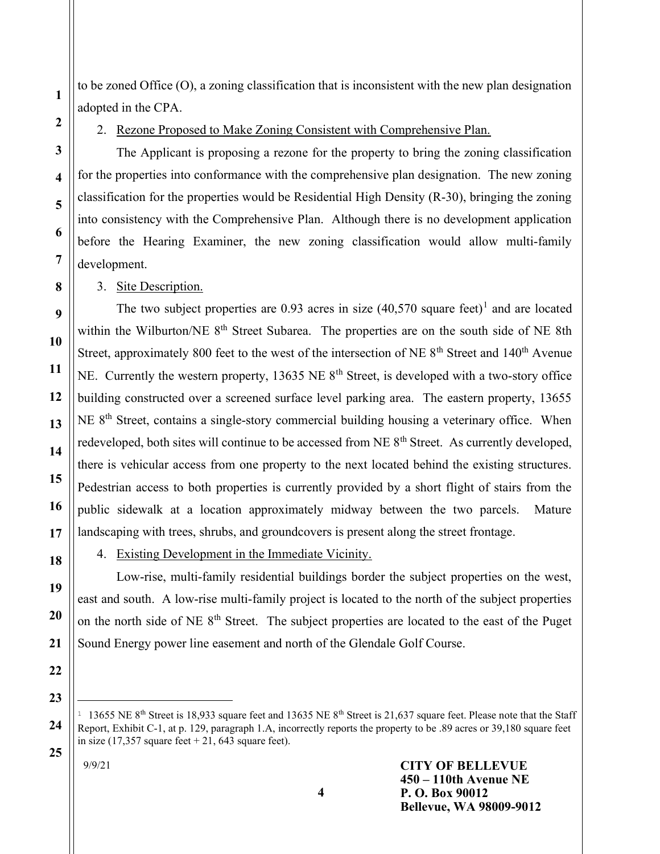to be zoned Office (O), a zoning classification that is inconsistent with the new plan designation adopted in the CPA.

2

1

3

4

5

6

7

8

9

10

11

12

13

14

15

16

17

18

19

20

21

22

23

24

25

## 2. Rezone Proposed to Make Zoning Consistent with Comprehensive Plan.

The Applicant is proposing a rezone for the property to bring the zoning classification for the properties into conformance with the comprehensive plan designation. The new zoning classification for the properties would be Residential High Density (R-30), bringing the zoning into consistency with the Comprehensive Plan. Although there is no development application before the Hearing Examiner, the new zoning classification would allow multi-family development.

3. Site Description.

The two subject properties are  $0.93$  acres in size  $(40,570)$  square feet)<sup>1</sup> and are located within the Wilburton/NE 8<sup>th</sup> Street Subarea. The properties are on the south side of NE 8th Street, approximately 800 feet to the west of the intersection of NE  $8<sup>th</sup>$  Street and 140<sup>th</sup> Avenue NE. Currently the western property, 13635 NE  $8<sup>th</sup>$  Street, is developed with a two-story office building constructed over a screened surface level parking area. The eastern property, 13655 NE  $8<sup>th</sup>$  Street, contains a single-story commercial building housing a veterinary office. When redeveloped, both sites will continue to be accessed from NE 8<sup>th</sup> Street. As currently developed, there is vehicular access from one property to the next located behind the existing structures. Pedestrian access to both properties is currently provided by a short flight of stairs from the public sidewalk at a location approximately midway between the two parcels. Mature landscaping with trees, shrubs, and groundcovers is present along the street frontage.

4. Existing Development in the Immediate Vicinity.

Low-rise, multi-family residential buildings border the subject properties on the west, east and south. A low-rise multi-family project is located to the north of the subject properties on the north side of NE  $8<sup>th</sup>$  Street. The subject properties are located to the east of the Puget Sound Energy power line easement and north of the Glendale Golf Course.

<sup>1</sup> 13655 NE 8<sup>th</sup> Street is 18,933 square feet and 13635 NE 8<sup>th</sup> Street is 21,637 square feet. Please note that the Staff Report, Exhibit C-1, at p. 129, paragraph 1.A, incorrectly reports the property to be .89 acres or 39,180 square feet in size  $(17,357)$  square feet + 21, 643 square feet).

9/9/21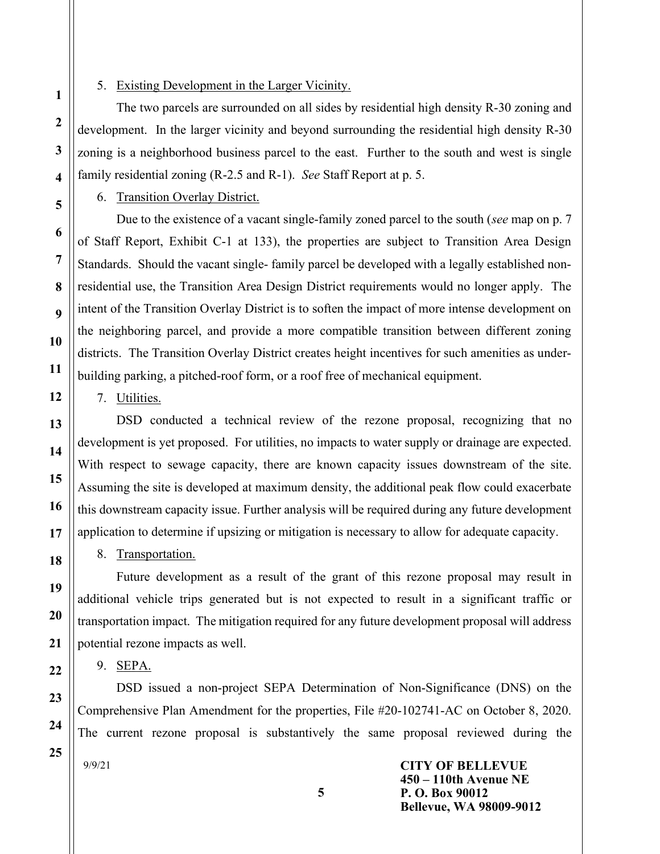#### 5. Existing Development in the Larger Vicinity.

The two parcels are surrounded on all sides by residential high density R-30 zoning and development. In the larger vicinity and beyond surrounding the residential high density R-30 zoning is a neighborhood business parcel to the east. Further to the south and west is single family residential zoning (R-2.5 and R-1). See Staff Report at p. 5.

6. Transition Overlay District.

Due to the existence of a vacant single-family zoned parcel to the south (see map on p. 7) of Staff Report, Exhibit C-1 at 133), the properties are subject to Transition Area Design Standards. Should the vacant single- family parcel be developed with a legally established nonresidential use, the Transition Area Design District requirements would no longer apply. The intent of the Transition Overlay District is to soften the impact of more intense development on the neighboring parcel, and provide a more compatible transition between different zoning districts. The Transition Overlay District creates height incentives for such amenities as underbuilding parking, a pitched-roof form, or a roof free of mechanical equipment.

7. Utilities.

DSD conducted a technical review of the rezone proposal, recognizing that no development is yet proposed. For utilities, no impacts to water supply or drainage are expected. With respect to sewage capacity, there are known capacity issues downstream of the site. Assuming the site is developed at maximum density, the additional peak flow could exacerbate this downstream capacity issue. Further analysis will be required during any future development application to determine if upsizing or mitigation is necessary to allow for adequate capacity.

8. Transportation.

Future development as a result of the grant of this rezone proposal may result in additional vehicle trips generated but is not expected to result in a significant traffic or transportation impact. The mitigation required for any future development proposal will address potential rezone impacts as well.

9. SEPA.

DSD issued a non-project SEPA Determination of Non-Significance (DNS) on the Comprehensive Plan Amendment for the properties, File #20-102741-AC on October 8, 2020. The current rezone proposal is substantively the same proposal reviewed during the

9/9/21

CITY OF BELLEVUE 450 – 110th Avenue NE P. O. Box 90012 Bellevue, WA 98009-9012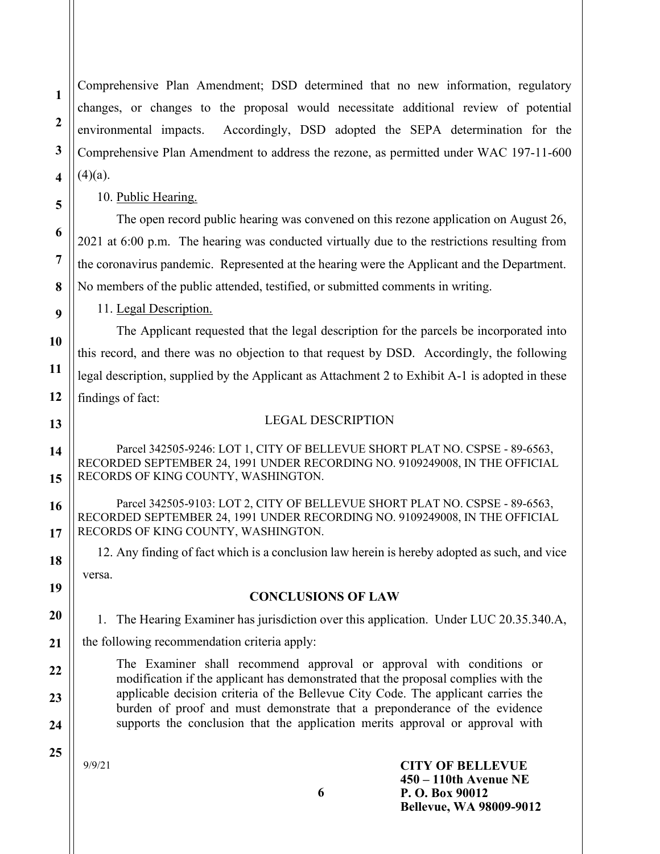Comprehensive Plan Amendment; DSD determined that no new information, regulatory changes, or changes to the proposal would necessitate additional review of potential environmental impacts. Accordingly, DSD adopted the SEPA determination for the Comprehensive Plan Amendment to address the rezone, as permitted under WAC 197-11-600  $(4)(a)$ .

10. Public Hearing.

The open record public hearing was convened on this rezone application on August 26, 2021 at 6:00 p.m. The hearing was conducted virtually due to the restrictions resulting from the coronavirus pandemic. Represented at the hearing were the Applicant and the Department. No members of the public attended, testified, or submitted comments in writing.

11. Legal Description.

The Applicant requested that the legal description for the parcels be incorporated into this record, and there was no objection to that request by DSD. Accordingly, the following legal description, supplied by the Applicant as Attachment 2 to Exhibit A-1 is adopted in these findings of fact:

1

2

3

4

5

6

7

8

9

10

11

12

13

14

15

16

17

18

19

20

22

23

24

#### LEGAL DESCRIPTION

Parcel 342505-9246: LOT 1, CITY OF BELLEVUE SHORT PLAT NO. CSPSE - 89-6563, RECORDED SEPTEMBER 24, 1991 UNDER RECORDING NO. 9109249008, IN THE OFFICIAL RECORDS OF KING COUNTY, WASHINGTON.

Parcel 342505-9103: LOT 2, CITY OF BELLEVUE SHORT PLAT NO. CSPSE - 89-6563, RECORDED SEPTEMBER 24, 1991 UNDER RECORDING NO. 9109249008, IN THE OFFICIAL RECORDS OF KING COUNTY, WASHINGTON.

12. Any finding of fact which is a conclusion law herein is hereby adopted as such, and vice versa.

#### CONCLUSIONS OF LAW

1. The Hearing Examiner has jurisdiction over this application. Under LUC 20.35.340.A,

21 the following recommendation criteria apply:

> The Examiner shall recommend approval or approval with conditions or modification if the applicant has demonstrated that the proposal complies with the applicable decision criteria of the Bellevue City Code. The applicant carries the burden of proof and must demonstrate that a preponderance of the evidence supports the conclusion that the application merits approval or approval with

25

9/9/21

CITY OF BELLEVUE 450 – 110th Avenue NE P. O. Box 90012 Bellevue, WA 98009-9012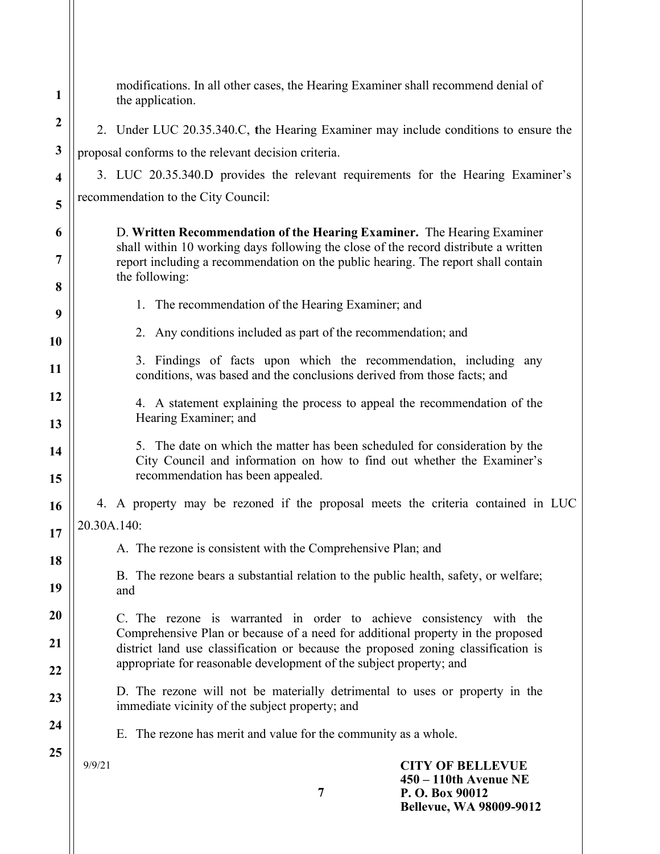| 1                | modifications. In all other cases, the Hearing Examiner shall recommend denial of<br>the application.                                                                                      |
|------------------|--------------------------------------------------------------------------------------------------------------------------------------------------------------------------------------------|
| $\boldsymbol{2}$ | 2. Under LUC 20.35.340.C, the Hearing Examiner may include conditions to ensure the                                                                                                        |
| $\mathbf{3}$     | proposal conforms to the relevant decision criteria.                                                                                                                                       |
| 4                | 3. LUC 20.35.340.D provides the relevant requirements for the Hearing Examiner's                                                                                                           |
| 5                | recommendation to the City Council:                                                                                                                                                        |
| 6                | D. Written Recommendation of the Hearing Examiner. The Hearing Examiner                                                                                                                    |
| 7                | shall within 10 working days following the close of the record distribute a written<br>report including a recommendation on the public hearing. The report shall contain<br>the following: |
| 8                |                                                                                                                                                                                            |
| 9                | 1. The recommendation of the Hearing Examiner; and                                                                                                                                         |
| <b>10</b>        | 2. Any conditions included as part of the recommendation; and                                                                                                                              |
| <b>11</b>        | 3. Findings of facts upon which the recommendation, including any<br>conditions, was based and the conclusions derived from those facts; and                                               |
| 12               | 4. A statement explaining the process to appeal the recommendation of the                                                                                                                  |
| 13               | Hearing Examiner; and                                                                                                                                                                      |
| 14<br>15         | 5. The date on which the matter has been scheduled for consideration by the<br>City Council and information on how to find out whether the Examiner's<br>recommendation has been appealed. |
| 16               | 4. A property may be rezoned if the proposal meets the criteria contained in LUC                                                                                                           |
| 17               | 20.30A.140:                                                                                                                                                                                |
|                  | A. The rezone is consistent with the Comprehensive Plan; and                                                                                                                               |
| 18               | B. The rezone bears a substantial relation to the public health, safety, or welfare;                                                                                                       |
| 19               | and                                                                                                                                                                                        |
| 20               | C. The rezone is warranted in order to achieve consistency with the                                                                                                                        |
| 21               | Comprehensive Plan or because of a need for additional property in the proposed<br>district land use classification or because the proposed zoning classification is                       |
| 22               | appropriate for reasonable development of the subject property; and                                                                                                                        |
| 23               | D. The rezone will not be materially detrimental to uses or property in the<br>immediate vicinity of the subject property; and                                                             |
| 24               | E. The rezone has merit and value for the community as a whole.                                                                                                                            |
| 25               | <b>CITY OF BELLEVUE</b><br>9/9/21                                                                                                                                                          |
|                  | $450 - 110$ th Avenue NE<br>7<br>P. O. Box 90012<br><b>Bellevue, WA 98009-9012</b>                                                                                                         |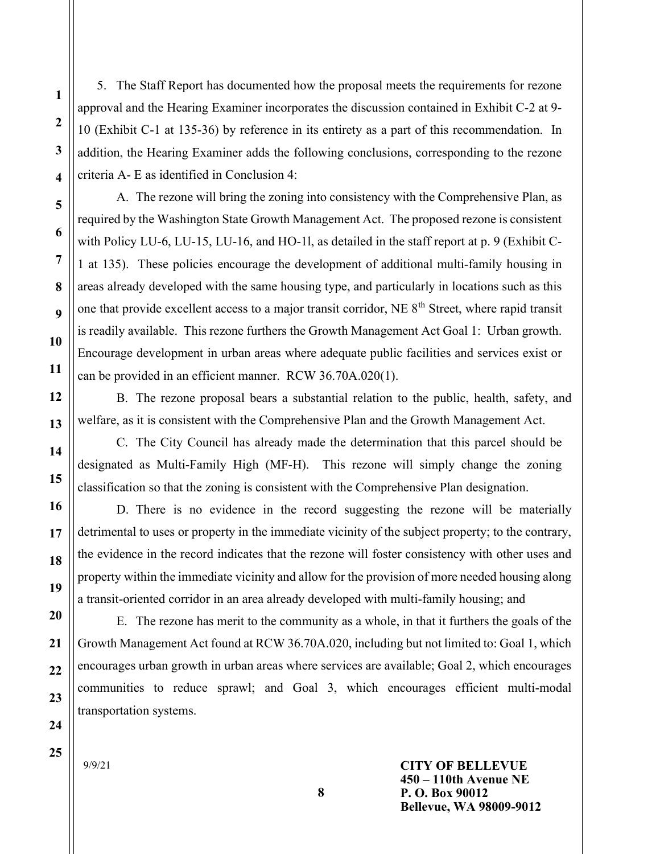5. The Staff Report has documented how the proposal meets the requirements for rezone approval and the Hearing Examiner incorporates the discussion contained in Exhibit C-2 at 9- 10 (Exhibit C-1 at 135-36) by reference in its entirety as a part of this recommendation. In addition, the Hearing Examiner adds the following conclusions, corresponding to the rezone criteria A- E as identified in Conclusion 4:

A. The rezone will bring the zoning into consistency with the Comprehensive Plan, as required by the Washington State Growth Management Act. The proposed rezone is consistent with Policy LU-6, LU-15, LU-16, and HO-1l, as detailed in the staff report at p. 9 (Exhibit C-1 at 135). These policies encourage the development of additional multi-family housing in areas already developed with the same housing type, and particularly in locations such as this one that provide excellent access to a major transit corridor, NE 8<sup>th</sup> Street, where rapid transit is readily available. This rezone furthers the Growth Management Act Goal 1: Urban growth. Encourage development in urban areas where adequate public facilities and services exist or can be provided in an efficient manner. RCW 36.70A.020(1).

B. The rezone proposal bears a substantial relation to the public, health, safety, and welfare, as it is consistent with the Comprehensive Plan and the Growth Management Act.

C. The City Council has already made the determination that this parcel should be designated as Multi-Family High (MF-H). This rezone will simply change the zoning classification so that the zoning is consistent with the Comprehensive Plan designation.

D. There is no evidence in the record suggesting the rezone will be materially detrimental to uses or property in the immediate vicinity of the subject property; to the contrary, the evidence in the record indicates that the rezone will foster consistency with other uses and property within the immediate vicinity and allow for the provision of more needed housing along a transit-oriented corridor in an area already developed with multi-family housing; and

E. The rezone has merit to the community as a whole, in that it furthers the goals of the Growth Management Act found at RCW 36.70A.020, including but not limited to: Goal 1, which encourages urban growth in urban areas where services are available; Goal 2, which encourages communities to reduce sprawl; and Goal 3, which encourages efficient multi-modal transportation systems.

9/9/21

CITY OF BELLEVUE 450 – 110th Avenue NE P. O. Box 90012 Bellevue, WA 98009-9012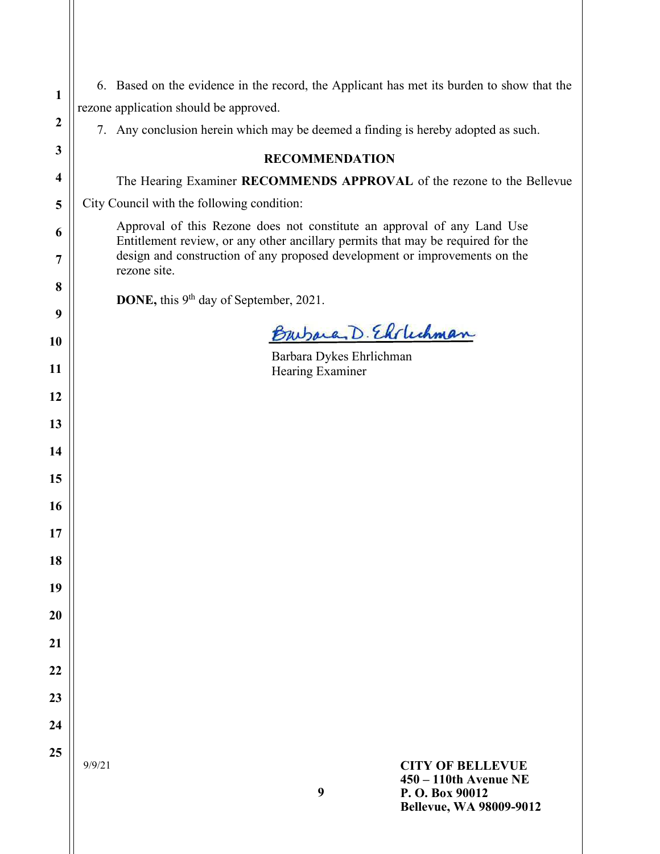| 1                | 6. Based on the evidence in the record, the Applicant has met its burden to show that the                                                                  |
|------------------|------------------------------------------------------------------------------------------------------------------------------------------------------------|
|                  | rezone application should be approved.                                                                                                                     |
| $\boldsymbol{2}$ | 7. Any conclusion herein which may be deemed a finding is hereby adopted as such.                                                                          |
| 3                | <b>RECOMMENDATION</b>                                                                                                                                      |
| 4                | The Hearing Examiner RECOMMENDS APPROVAL of the rezone to the Bellevue                                                                                     |
| 5                | City Council with the following condition:                                                                                                                 |
| 6                | Approval of this Rezone does not constitute an approval of any Land Use<br>Entitlement review, or any other ancillary permits that may be required for the |
| 7                | design and construction of any proposed development or improvements on the<br>rezone site.                                                                 |
| 8                | DONE, this 9 <sup>th</sup> day of September, 2021.                                                                                                         |
| 9                |                                                                                                                                                            |
| 10               | Burbara, D. Elslechman                                                                                                                                     |
| 11               | Barbara Dykes Ehrlichman<br>Hearing Examiner                                                                                                               |
| 12               |                                                                                                                                                            |
| 13               |                                                                                                                                                            |
| 14               |                                                                                                                                                            |
| 15               |                                                                                                                                                            |
| 16               |                                                                                                                                                            |
| 17               |                                                                                                                                                            |
| 18               |                                                                                                                                                            |
| 19               |                                                                                                                                                            |
| 20               |                                                                                                                                                            |
| 21               |                                                                                                                                                            |
| 22               |                                                                                                                                                            |
| 23               |                                                                                                                                                            |
| 24               |                                                                                                                                                            |
| 25               |                                                                                                                                                            |
|                  | <b>CITY OF BELLEVUE</b><br>9/9/21<br>450 - 110th Avenue NE<br>9                                                                                            |
|                  | P.O. Box 90012<br><b>Bellevue, WA 98009-9012</b>                                                                                                           |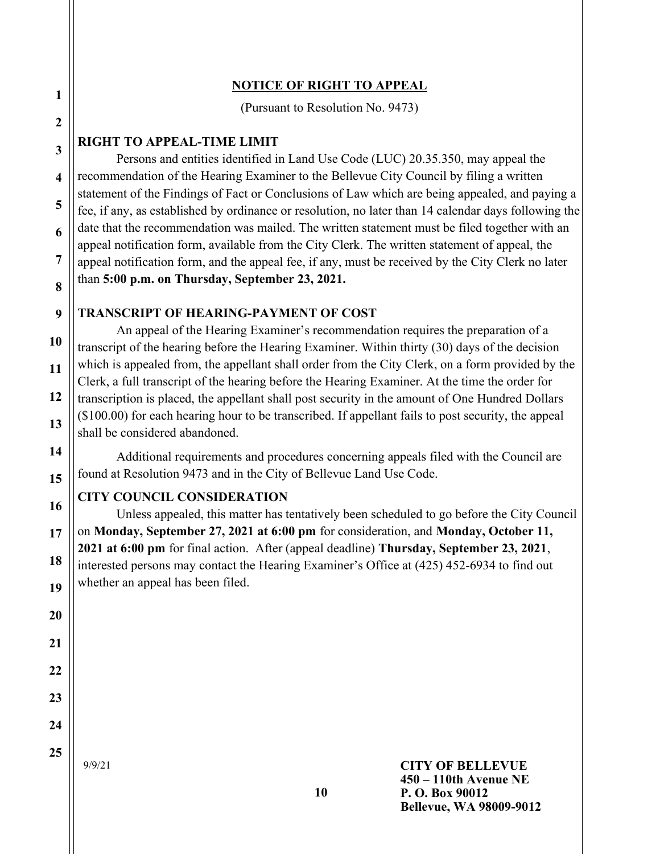### NOTICE OF RIGHT TO APPEAL

(Pursuant to Resolution No. 9473)

### RIGHT TO APPEAL-TIME LIMIT

Persons and entities identified in Land Use Code (LUC) 20.35.350, may appeal the recommendation of the Hearing Examiner to the Bellevue City Council by filing a written statement of the Findings of Fact or Conclusions of Law which are being appealed, and paying a fee, if any, as established by ordinance or resolution, no later than 14 calendar days following the date that the recommendation was mailed. The written statement must be filed together with an appeal notification form, available from the City Clerk. The written statement of appeal, the appeal notification form, and the appeal fee, if any, must be received by the City Clerk no later than 5:00 p.m. on Thursday, September 23, 2021.

### TRANSCRIPT OF HEARING-PAYMENT OF COST

An appeal of the Hearing Examiner's recommendation requires the preparation of a transcript of the hearing before the Hearing Examiner. Within thirty (30) days of the decision which is appealed from, the appellant shall order from the City Clerk, on a form provided by the Clerk, a full transcript of the hearing before the Hearing Examiner. At the time the order for transcription is placed, the appellant shall post security in the amount of One Hundred Dollars (\$100.00) for each hearing hour to be transcribed. If appellant fails to post security, the appeal shall be considered abandoned.

Additional requirements and procedures concerning appeals filed with the Council are found at Resolution 9473 and in the City of Bellevue Land Use Code.

## CITY COUNCIL CONSIDERATION

Unless appealed, this matter has tentatively been scheduled to go before the City Council on Monday, September 27, 2021 at 6:00 pm for consideration, and Monday, October 11, 2021 at 6:00 pm for final action. After (appeal deadline) Thursday, September 23, 2021, interested persons may contact the Hearing Examiner's Office at (425) 452-6934 to find out whether an appeal has been filed.

9/9/21

1

2

3

4